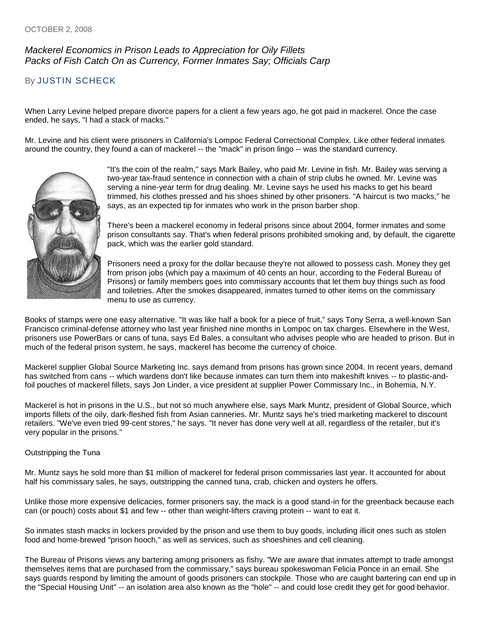## *Mackerel Economics in Prison Leads to Appreciation for Oily Fillets Packs of Fish Catch On as Currency, Former Inmates Say; Officials Carp*

## By [JUSTIN SCHECK](http://online.wsj.com/search/search_center.html?KEYWORDS=JUSTIN+SCHECK&ARTICLESEARCHQUERY_PARSER=bylineAND)

When Larry Levine helped prepare divorce papers for a client a few years ago, he got paid in mackerel. Once the case ended, he says, "I had a stack of macks."

Mr. Levine and his client were prisoners in California's Lompoc Federal Correctional Complex. Like other federal inmates around the country, they found a can of mackerel -- the "mack" in prison lingo -- was the standard currency.



"It's the coin of the realm," says Mark Bailey, who paid Mr. Levine in fish. Mr. Bailey was serving a two-year tax-fraud sentence in connection with a chain of strip clubs he owned. Mr. Levine was serving a nine-year term for drug dealing. Mr. Levine says he used his macks to get his beard trimmed, his clothes pressed and his shoes shined by other prisoners. "A haircut is two macks," he says, as an expected tip for inmates who work in the prison barber shop.

There's been a mackerel economy in federal prisons since about 2004, former inmates and some prison consultants say. That's when federal prisons prohibited smoking and, by default, the cigarette pack, which was the earlier gold standard.

Prisoners need a proxy for the dollar because they're not allowed to possess cash. Money they get from prison jobs (which pay a maximum of 40 cents an hour, according to the Federal Bureau of Prisons) or family members goes into commissary accounts that let them buy things such as food and toiletries. After the smokes disappeared, inmates turned to other items on the commissary menu to use as currency.

Books of stamps were one easy alternative. "It was like half a book for a piece of fruit," says Tony Serra, a well-known San Francisco criminal-defense attorney who last year finished nine months in Lompoc on tax charges. Elsewhere in the West, prisoners use PowerBars or cans of tuna, says Ed Bales, a consultant who advises people who are headed to prison. But in much of the federal prison system, he says, mackerel has become the currency of choice.

Mackerel supplier Global Source Marketing Inc. says demand from prisons has grown since 2004. In recent years, demand has switched from cans -- which wardens don't like because inmates can turn them into makeshift knives -- to plastic-andfoil pouches of mackerel fillets, says Jon Linder, a vice president at supplier Power Commissary Inc., in Bohemia, N.Y.

Mackerel is hot in prisons in the U.S., but not so much anywhere else, says Mark Muntz, president of Global Source, which imports fillets of the oily, dark-fleshed fish from Asian canneries. Mr. Muntz says he's tried marketing mackerel to discount retailers. "We've even tried 99-cent stores," he says. "It never has done very well at all, regardless of the retailer, but it's very popular in the prisons."

## Outstripping the Tuna

Mr. Muntz says he sold more than \$1 million of mackerel for federal prison commissaries last year. It accounted for about half his commissary sales, he says, outstripping the canned tuna, crab, chicken and oysters he offers.

Unlike those more expensive delicacies, former prisoners say, the mack is a good stand-in for the greenback because each can (or pouch) costs about \$1 and few -- other than weight-lifters craving protein -- want to eat it.

So inmates stash macks in lockers provided by the prison and use them to buy goods, including illicit ones such as stolen food and home-brewed "prison hooch," as well as services, such as shoeshines and cell cleaning.

The Bureau of Prisons views any bartering among prisoners as fishy. "We are aware that inmates attempt to trade amongst themselves items that are purchased from the commissary," says bureau spokeswoman Felicia Ponce in an email. She says guards respond by limiting the amount of goods prisoners can stockpile. Those who are caught bartering can end up in the "Special Housing Unit" -- an isolation area also known as the "hole" -- and could lose credit they get for good behavior.